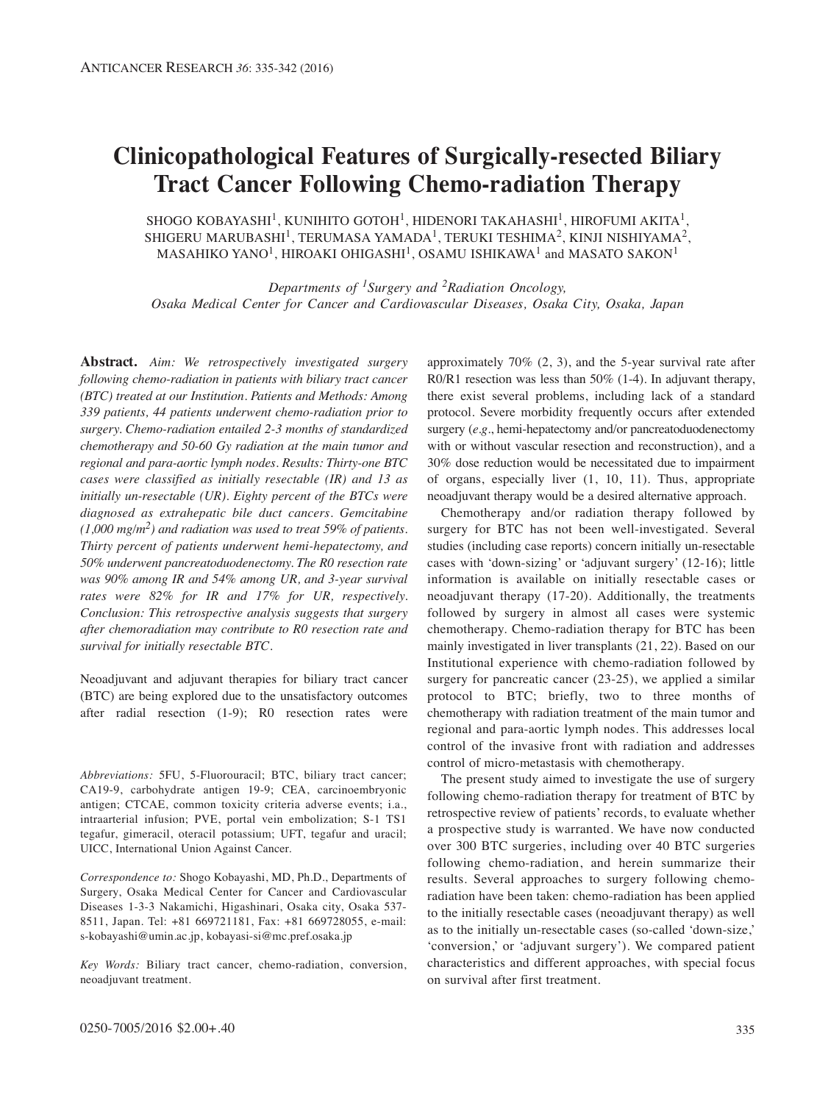# **Clinicopathological Features of Surgically-resected Biliary Tract Cancer Following Chemo-radiation Therapy**

SHOGO KOBAYASHI<sup>1</sup>, KUNIHITO GOTOH<sup>1</sup>, HIDENORI TAKAHASHI<sup>1</sup>, HIROFUMI AKITA<sup>1</sup>, SHIGERU MARUBASHI<sup>1</sup>, TERUMASA YAMADA<sup>1</sup>, TERUKI TESHIMA<sup>2</sup>, KINJI NISHIYAMA<sup>2</sup>, MASAHIKO YANO<sup>1</sup>, HIROAKI OHIGASHI<sup>1</sup>, OSAMU ISHIKAWA<sup>1</sup> and MASATO SAKON<sup>1</sup>

*Departments of 1Surgery and 2Radiation Oncology, Osaka Medical Center for Cancer and Cardiovascular Diseases, Osaka City, Osaka, Japan*

**Abstract.** *Aim: We retrospectively investigated surgery following chemo-radiation in patients with biliary tract cancer (BTC) treated at our Institution. Patients and Methods: Among 339 patients, 44 patients underwent chemo-radiation prior to surgery. Chemo-radiation entailed 2-3 months of standardized chemotherapy and 50-60 Gy radiation at the main tumor and regional and para-aortic lymph nodes. Results: Thirty-one BTC cases were classified as initially resectable (IR) and 13 as initially un-resectable (UR). Eighty percent of the BTCs were diagnosed as extrahepatic bile duct cancers. Gemcitabine (1,000 mg/m2) and radiation was used to treat 59% of patients. Thirty percent of patients underwent hemi-hepatectomy, and 50% underwent pancreatoduodenectomy. The R0 resection rate was 90% among IR and 54% among UR, and 3-year survival rates were 82% for IR and 17% for UR, respectively. Conclusion: This retrospective analysis suggests that surgery after chemoradiation may contribute to R0 resection rate and survival for initially resectable BTC.*

Neoadjuvant and adjuvant therapies for biliary tract cancer (BTC) are being explored due to the unsatisfactory outcomes after radial resection (1-9); R0 resection rates were

*Abbreviations:* 5FU, 5-Fluorouracil; BTC, biliary tract cancer; CA19-9, carbohydrate antigen 19-9; CEA, carcinoembryonic antigen; CTCAE, common toxicity criteria adverse events; i.a., intraarterial infusion; PVE, portal vein embolization; S-1 TS1 tegafur, gimeracil, oteracil potassium; UFT, tegafur and uracil; UICC, International Union Against Cancer.

*Correspondence to:* Shogo Kobayashi, MD, Ph.D., Departments of Surgery, Osaka Medical Center for Cancer and Cardiovascular Diseases 1-3-3 Nakamichi, Higashinari, Osaka city, Osaka 537- 8511, Japan. Tel: +81 669721181, Fax: +81 669728055, e-mail: s-kobayashi@umin.ac.jp, kobayasi-si@mc.pref.osaka.jp

*Key Words:* Biliary tract cancer, chemo-radiation, conversion, neoadjuvant treatment.

approximately 70% (2, 3), and the 5-year survival rate after R0/R1 resection was less than 50% (1-4). In adjuvant therapy, there exist several problems, including lack of a standard protocol. Severe morbidity frequently occurs after extended surgery (*e.g.*, hemi-hepatectomy and/or pancreatoduodenectomy with or without vascular resection and reconstruction), and a 30% dose reduction would be necessitated due to impairment of organs, especially liver (1, 10, 11). Thus, appropriate neoadjuvant therapy would be a desired alternative approach.

Chemotherapy and/or radiation therapy followed by surgery for BTC has not been well-investigated. Several studies (including case reports) concern initially un-resectable cases with 'down-sizing' or 'adjuvant surgery' (12-16); little information is available on initially resectable cases or neoadjuvant therapy (17-20). Additionally, the treatments followed by surgery in almost all cases were systemic chemotherapy. Chemo-radiation therapy for BTC has been mainly investigated in liver transplants (21, 22). Based on our Institutional experience with chemo-radiation followed by surgery for pancreatic cancer (23-25), we applied a similar protocol to BTC; briefly, two to three months of chemotherapy with radiation treatment of the main tumor and regional and para-aortic lymph nodes. This addresses local control of the invasive front with radiation and addresses control of micro-metastasis with chemotherapy.

The present study aimed to investigate the use of surgery following chemo-radiation therapy for treatment of BTC by retrospective review of patients' records, to evaluate whether a prospective study is warranted. We have now conducted over 300 BTC surgeries, including over 40 BTC surgeries following chemo-radiation, and herein summarize their results. Several approaches to surgery following chemoradiation have been taken: chemo-radiation has been applied to the initially resectable cases (neoadjuvant therapy) as well as to the initially un-resectable cases (so-called 'down-size,' 'conversion,' or 'adjuvant surgery'). We compared patient characteristics and different approaches, with special focus on survival after first treatment.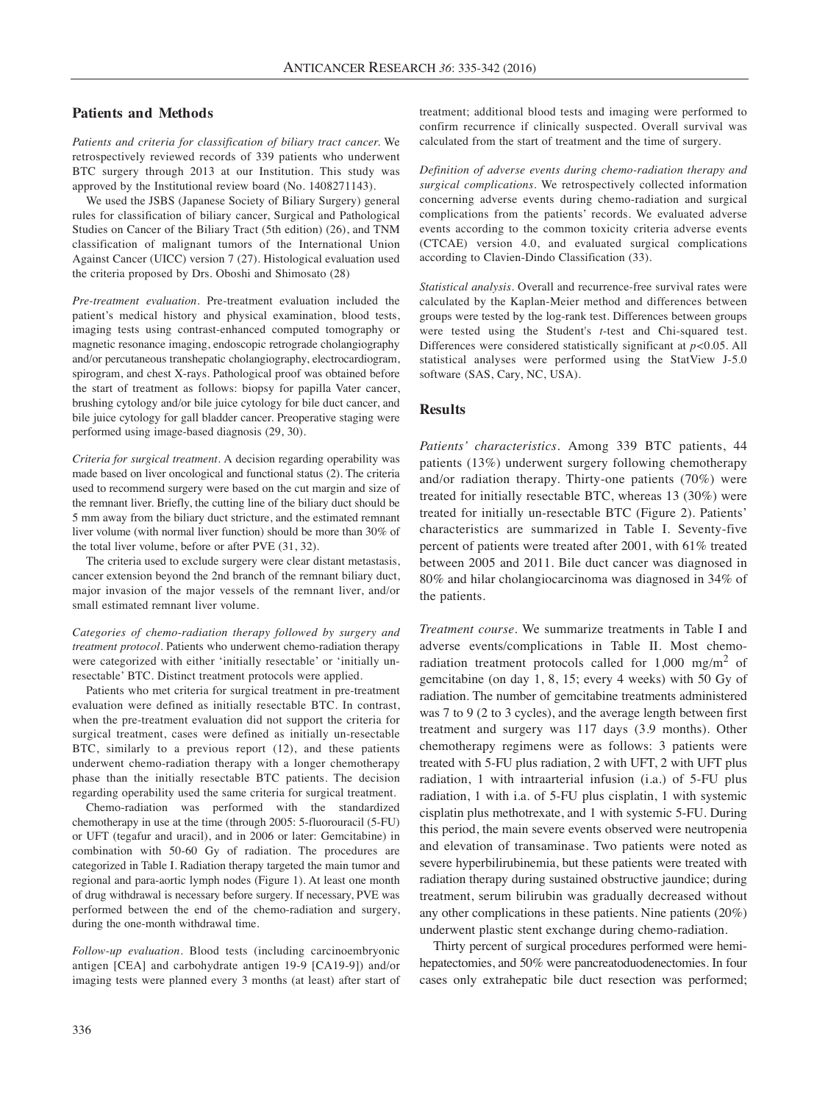## **Patients and Methods**

*Patients and criteria for classification of biliary tract cancer.* We retrospectively reviewed records of 339 patients who underwent BTC surgery through 2013 at our Institution. This study was approved by the Institutional review board (No. 1408271143).

We used the JSBS (Japanese Society of Biliary Surgery) general rules for classification of biliary cancer, Surgical and Pathological Studies on Cancer of the Biliary Tract (5th edition) (26), and TNM classification of malignant tumors of the International Union Against Cancer (UICC) version 7 (27). Histological evaluation used the criteria proposed by Drs. Oboshi and Shimosato (28)

*Pre-treatment evaluation.* Pre-treatment evaluation included the patient's medical history and physical examination, blood tests, imaging tests using contrast-enhanced computed tomography or magnetic resonance imaging, endoscopic retrograde cholangiography and/or percutaneous transhepatic cholangiography, electrocardiogram, spirogram, and chest X-rays. Pathological proof was obtained before the start of treatment as follows: biopsy for papilla Vater cancer, brushing cytology and/or bile juice cytology for bile duct cancer, and bile juice cytology for gall bladder cancer. Preoperative staging were performed using image-based diagnosis (29, 30).

*Criteria for surgical treatment.* A decision regarding operability was made based on liver oncological and functional status (2). The criteria used to recommend surgery were based on the cut margin and size of the remnant liver. Briefly, the cutting line of the biliary duct should be 5 mm away from the biliary duct stricture, and the estimated remnant liver volume (with normal liver function) should be more than 30% of the total liver volume, before or after PVE (31, 32).

The criteria used to exclude surgery were clear distant metastasis, cancer extension beyond the 2nd branch of the remnant biliary duct, major invasion of the major vessels of the remnant liver, and/or small estimated remnant liver volume.

*Categories of chemo-radiation therapy followed by surgery and treatment protocol.* Patients who underwent chemo-radiation therapy were categorized with either 'initially resectable' or 'initially unresectable' BTC. Distinct treatment protocols were applied.

Patients who met criteria for surgical treatment in pre-treatment evaluation were defined as initially resectable BTC. In contrast, when the pre-treatment evaluation did not support the criteria for surgical treatment, cases were defined as initially un-resectable BTC, similarly to a previous report (12), and these patients underwent chemo-radiation therapy with a longer chemotherapy phase than the initially resectable BTC patients. The decision regarding operability used the same criteria for surgical treatment.

Chemo-radiation was performed with the standardized chemotherapy in use at the time (through 2005: 5-fluorouracil (5-FU) or UFT (tegafur and uracil), and in 2006 or later: Gemcitabine) in combination with 50-60 Gy of radiation. The procedures are categorized in Table I. Radiation therapy targeted the main tumor and regional and para-aortic lymph nodes (Figure 1). At least one month of drug withdrawal is necessary before surgery. If necessary, PVE was performed between the end of the chemo-radiation and surgery, during the one-month withdrawal time.

*Follow-up evaluation.* Blood tests (including carcinoembryonic antigen [CEA] and carbohydrate antigen 19-9 [CA19-9]) and/or imaging tests were planned every 3 months (at least) after start of

treatment; additional blood tests and imaging were performed to confirm recurrence if clinically suspected. Overall survival was calculated from the start of treatment and the time of surgery.

*Definition of adverse events during chemo-radiation therapy and surgical complications.* We retrospectively collected information concerning adverse events during chemo-radiation and surgical complications from the patients' records. We evaluated adverse events according to the common toxicity criteria adverse events (CTCAE) version 4.0, and evaluated surgical complications according to Clavien-Dindo Classification (33).

*Statistical analysis.* Overall and recurrence-free survival rates were calculated by the Kaplan-Meier method and differences between groups were tested by the log-rank test. Differences between groups were tested using the Student's *t*-test and Chi-squared test. Differences were considered statistically significant at *p<*0.05. All statistical analyses were performed using the StatView J-5.0 software (SAS, Cary, NC, USA).

## **Results**

*Patients' characteristics.* Among 339 BTC patients, 44 patients (13%) underwent surgery following chemotherapy and/or radiation therapy. Thirty-one patients (70%) were treated for initially resectable BTC, whereas 13 (30%) were treated for initially un-resectable BTC (Figure 2). Patients' characteristics are summarized in Table I. Seventy-five percent of patients were treated after 2001, with 61% treated between 2005 and 2011. Bile duct cancer was diagnosed in 80% and hilar cholangiocarcinoma was diagnosed in 34% of the patients.

*Treatment course.* We summarize treatments in Table I and adverse events/complications in Table II. Most chemoradiation treatment protocols called for  $1,000$  mg/m<sup>2</sup> of gemcitabine (on day 1, 8, 15; every 4 weeks) with 50 Gy of radiation. The number of gemcitabine treatments administered was 7 to 9 (2 to 3 cycles), and the average length between first treatment and surgery was 117 days (3.9 months). Other chemotherapy regimens were as follows: 3 patients were treated with 5-FU plus radiation, 2 with UFT, 2 with UFT plus radiation, 1 with intraarterial infusion (i.a.) of 5-FU plus radiation, 1 with i.a. of 5-FU plus cisplatin, 1 with systemic cisplatin plus methotrexate, and 1 with systemic 5-FU. During this period, the main severe events observed were neutropenia and elevation of transaminase. Two patients were noted as severe hyperbilirubinemia, but these patients were treated with radiation therapy during sustained obstructive jaundice; during treatment, serum bilirubin was gradually decreased without any other complications in these patients. Nine patients (20%) underwent plastic stent exchange during chemo-radiation.

Thirty percent of surgical procedures performed were hemihepatectomies, and 50% were pancreatoduodenectomies. In four cases only extrahepatic bile duct resection was performed;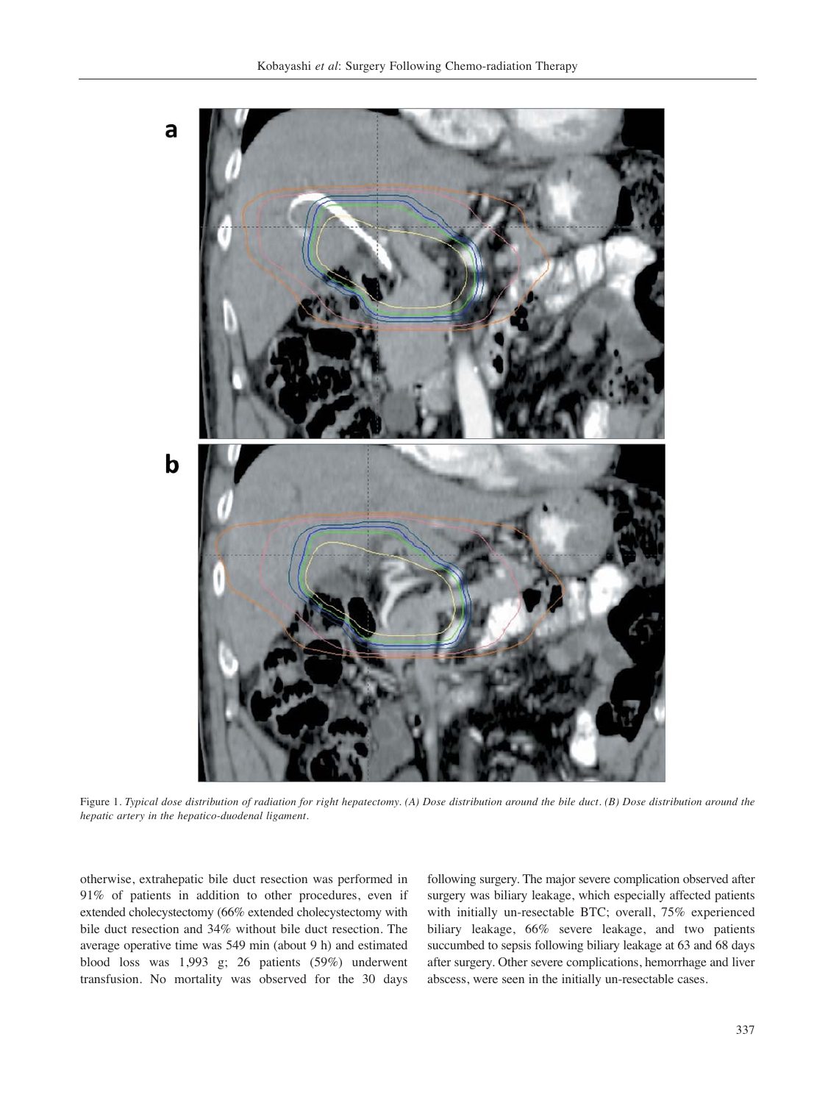

Figure 1*. Typical dose distribution of radiation for right hepatectomy. (A) Dose distribution around the bile duct. (B) Dose distribution around the hepatic artery in the hepatico-duodenal ligament.*

otherwise, extrahepatic bile duct resection was performed in 91% of patients in addition to other procedures, even if extended cholecystectomy (66% extended cholecystectomy with bile duct resection and 34% without bile duct resection. The average operative time was 549 min (about 9 h) and estimated blood loss was 1,993 g; 26 patients (59%) underwent transfusion. No mortality was observed for the 30 days following surgery. The major severe complication observed after surgery was biliary leakage, which especially affected patients with initially un-resectable BTC; overall, 75% experienced biliary leakage, 66% severe leakage, and two patients succumbed to sepsis following biliary leakage at 63 and 68 days after surgery. Other severe complications, hemorrhage and liver abscess, were seen in the initially un-resectable cases.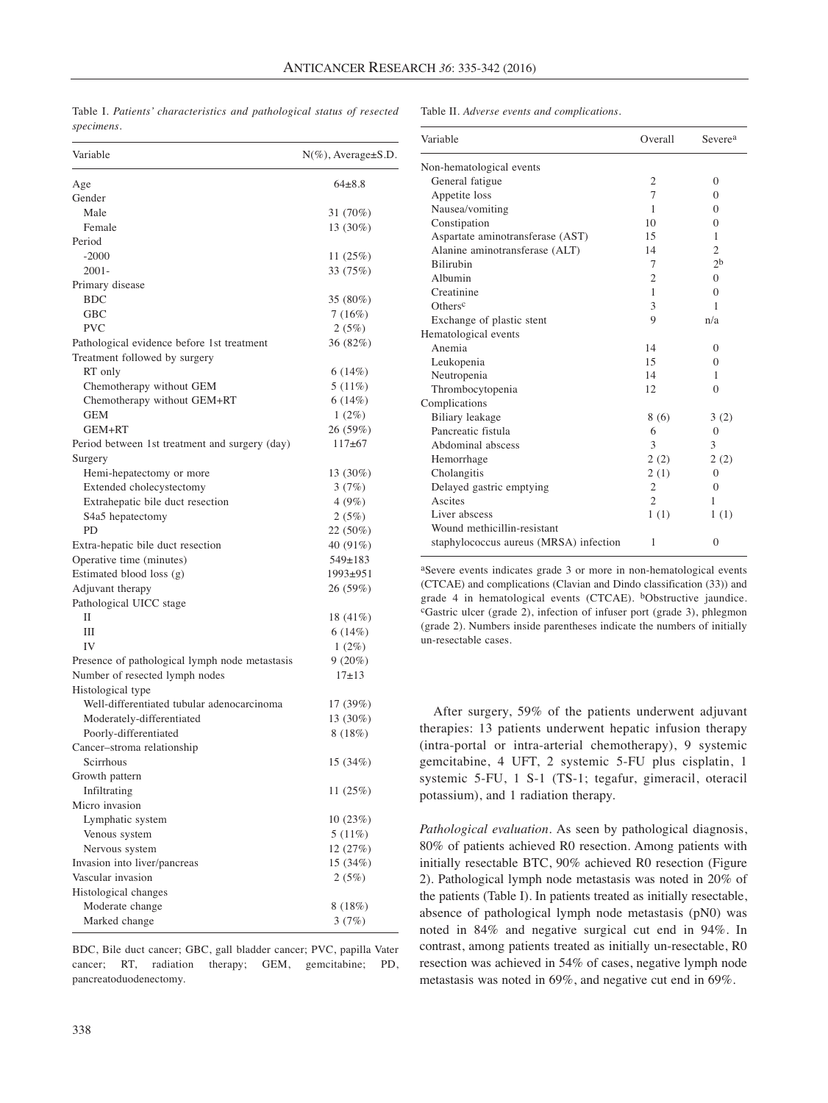| Table I. Patients' characteristics and pathological status of resected |  |  |  |
|------------------------------------------------------------------------|--|--|--|
| specimens.                                                             |  |  |  |

#### Table II. *Adverse events and complications.*

| Variable                                       | $N(\%)$ , Average $\pm$ S.D. |
|------------------------------------------------|------------------------------|
| Age                                            | $64\pm8.8$                   |
| Gender                                         |                              |
| Male                                           | 31 (70%)                     |
| Female                                         | 13 (30%)                     |
| Period                                         |                              |
| $-2000$                                        | 11(25%)                      |
| $2001 -$                                       | 33 (75%)                     |
| Primary disease                                |                              |
| <b>BDC</b>                                     | 35 (80%)                     |
| <b>GBC</b>                                     | 7(16%)                       |
| PVC                                            | 2(5%)                        |
| Pathological evidence before 1st treatment     | 36 (82%)                     |
| Treatment followed by surgery                  |                              |
| RT only                                        | 6(14%)                       |
| Chemotherapy without GEM                       | 5(11%)                       |
| Chemotherapy without GEM+RT                    | 6(14%)                       |
| <b>GEM</b>                                     | $1(2\%)$                     |
| GEM+RT                                         | 26 (59%)                     |
| Period between 1st treatment and surgery (day) | $117+67$                     |
| Surgery                                        |                              |
| Hemi-hepatectomy or more                       | 13 (30%)                     |
| Extended cholecystectomy                       | 3(7%)                        |
| Extrahepatic bile duct resection               | 4(9%)                        |
| S4a5 hepatectomy                               | 2(5%)                        |
| PD                                             | 22 (50%)                     |
| Extra-hepatic bile duct resection              | 40 (91%)                     |
| Operative time (minutes)                       | $549 \pm 183$                |
| Estimated blood loss (g)                       | 1993±951                     |
| Adjuvant therapy                               | 26 (59%)                     |
| Pathological UICC stage                        |                              |
| Н                                              | 18 (41%)                     |
| Ш                                              | 6(14%)                       |
| IV                                             | $1(2\%)$                     |
| Presence of pathological lymph node metastasis | $9(20\%)$                    |
| Number of resected lymph nodes                 | $17+13$                      |
| Histological type                              |                              |
| Well-differentiated tubular adenocarcinoma     | 17 (39%)                     |
| Moderately-differentiated                      | 13 (30%)                     |
| Poorly-differentiated                          | 8(18%)                       |
| Cancer-stroma relationship                     |                              |
| Scirrhous                                      | 15 (34%)                     |
| Growth pattern<br>Infiltrating                 |                              |
| Micro invasion                                 | 11(25%)                      |
|                                                |                              |
| Lymphatic system<br>Venous system              | 10(23%)<br>$5(11\%)$         |
| Nervous system                                 | 12 (27%)                     |
| Invasion into liver/pancreas                   | 15 (34%)                     |
| Vascular invasion                              | 2(5%)                        |
| Histological changes                           |                              |
| Moderate change                                | 8(18%)                       |
| Marked change                                  | 3(7%)                        |
|                                                |                              |

BDC, Bile duct cancer; GBC, gall bladder cancer; PVC, papilla Vater cancer; RT, radiation therapy; GEM, gemcitabine; PD, pancreatoduodenectomy.

| Variable                               | Overall        | Severe <sup>a</sup> |
|----------------------------------------|----------------|---------------------|
| Non-hematological events               |                |                     |
| General fatigue                        | 2              | $\Omega$            |
| Appetite loss                          | 7              | $\Omega$            |
| Nausea/vomiting                        | 1              | $\Omega$            |
| Constipation                           | 10             | $\Omega$            |
| Aspartate aminotransferase (AST)       | 15             | 1                   |
| Alanine aminotransferase (ALT)         | 14             | $\overline{2}$      |
| <b>Bilirubin</b>                       | 7              | 2 <sub>b</sub>      |
| Albumin                                | $\overline{2}$ | $\Omega$            |
| Creatinine                             | 1              | $\Omega$            |
| Others <sup>c</sup>                    | 3              | 1                   |
| Exchange of plastic stent              | 9              | n/a                 |
| Hematological events                   |                |                     |
| Anemia                                 | 14             | $\Omega$            |
| Leukopenia                             | 15             | $\Omega$            |
| Neutropenia                            | 14             | 1                   |
| Thrombocytopenia                       | 12             | $\Omega$            |
| Complications                          |                |                     |
| <b>Biliary</b> leakage                 | 8 (6)          | 3(2)                |
| Pancreatic fistula                     | 6              | $\Omega$            |
| Abdominal abscess                      | 3              | 3                   |
| Hemorrhage                             | 2(2)           | 2(2)                |
| Cholangitis                            | 2(1)           | $\Omega$            |
| Delayed gastric emptying               | $\overline{2}$ | 0                   |
| Ascites                                | $\overline{c}$ | 1                   |
| Liver abscess                          | 1(1)           | 1(1)                |
| Wound methicillin-resistant            |                |                     |
| staphylococcus aureus (MRSA) infection | 1              | $\Omega$            |
|                                        |                |                     |

aSevere events indicates grade 3 or more in non-hematological events (CTCAE) and complications (Clavian and Dindo classification (33)) and grade 4 in hematological events (CTCAE). bObstructive jaundice. cGastric ulcer (grade 2), infection of infuser port (grade 3), phlegmon (grade 2). Numbers inside parentheses indicate the numbers of initially un-resectable cases.

After surgery, 59% of the patients underwent adjuvant therapies: 13 patients underwent hepatic infusion therapy (intra-portal or intra-arterial chemotherapy), 9 systemic gemcitabine, 4 UFT, 2 systemic 5-FU plus cisplatin, 1 systemic 5-FU, 1 S-1 (TS-1; tegafur, gimeracil, oteracil potassium), and 1 radiation therapy.

*Pathological evaluation.* As seen by pathological diagnosis, 80% of patients achieved R0 resection. Among patients with initially resectable BTC, 90% achieved R0 resection (Figure 2). Pathological lymph node metastasis was noted in 20% of the patients (Table I). In patients treated as initially resectable, absence of pathological lymph node metastasis (pN0) was noted in 84% and negative surgical cut end in 94%. In contrast, among patients treated as initially un-resectable, R0 resection was achieved in 54% of cases, negative lymph node metastasis was noted in 69%, and negative cut end in 69%.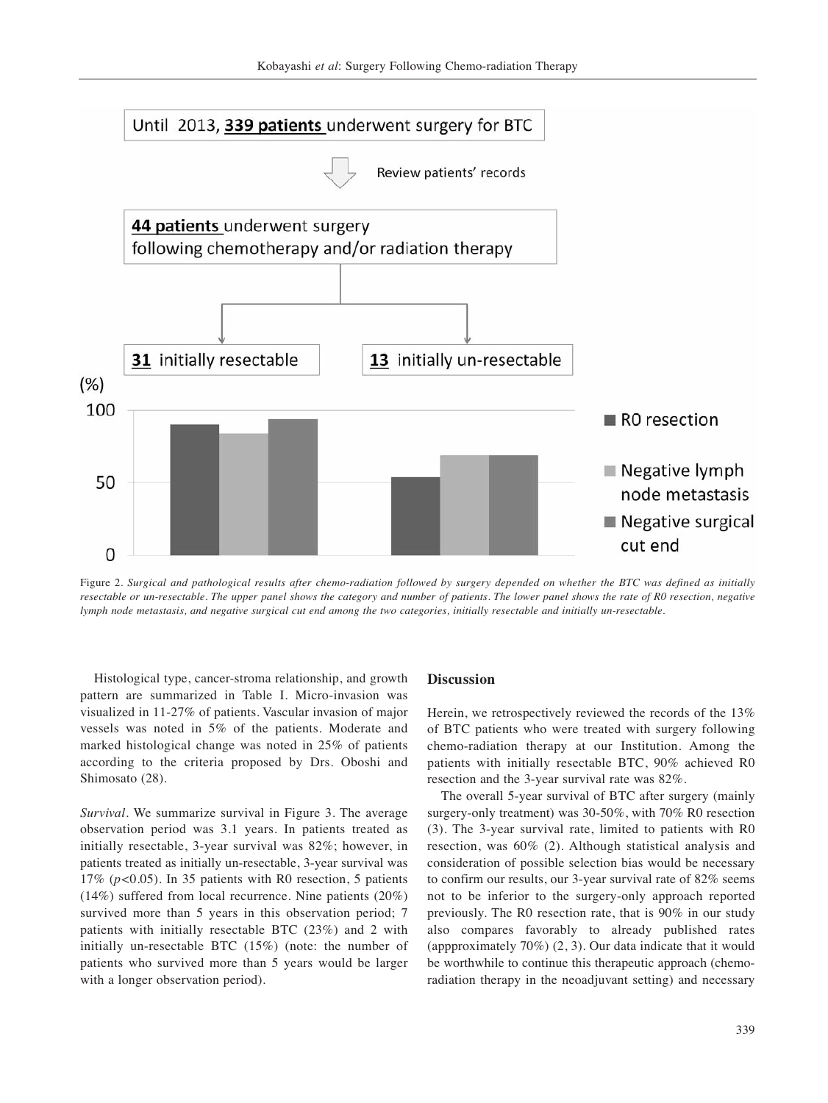

Figure 2. *Surgical and pathological results after chemo-radiation followed by surgery depended on whether the BTC was defined as initially resectable or un-resectable. The upper panel shows the category and number of patients. The lower panel shows the rate of R0 resection, negative lymph node metastasis, and negative surgical cut end among the two categories, initially resectable and initially un-resectable.*

Histological type, cancer-stroma relationship, and growth pattern are summarized in Table I. Micro-invasion was visualized in 11-27% of patients. Vascular invasion of major vessels was noted in 5% of the patients. Moderate and marked histological change was noted in 25% of patients according to the criteria proposed by Drs. Oboshi and Shimosato (28).

*Survival.* We summarize survival in Figure 3. The average observation period was 3.1 years. In patients treated as initially resectable, 3-year survival was 82%; however, in patients treated as initially un-resectable, 3-year survival was 17% (*p<*0.05). In 35 patients with R0 resection, 5 patients (14%) suffered from local recurrence. Nine patients (20%) survived more than 5 years in this observation period; 7 patients with initially resectable BTC (23%) and 2 with initially un-resectable BTC (15%) (note: the number of patients who survived more than 5 years would be larger with a longer observation period).

### **Discussion**

Herein, we retrospectively reviewed the records of the 13% of BTC patients who were treated with surgery following chemo-radiation therapy at our Institution. Among the patients with initially resectable BTC, 90% achieved R0 resection and the 3-year survival rate was 82%.

The overall 5-year survival of BTC after surgery (mainly surgery-only treatment) was 30-50%, with 70% R0 resection (3). The 3-year survival rate, limited to patients with R0 resection, was 60% (2). Although statistical analysis and consideration of possible selection bias would be necessary to confirm our results, our 3-year survival rate of 82% seems not to be inferior to the surgery-only approach reported previously. The R0 resection rate, that is 90% in our study also compares favorably to already published rates (appproximately 70%) (2, 3). Our data indicate that it would be worthwhile to continue this therapeutic approach (chemoradiation therapy in the neoadjuvant setting) and necessary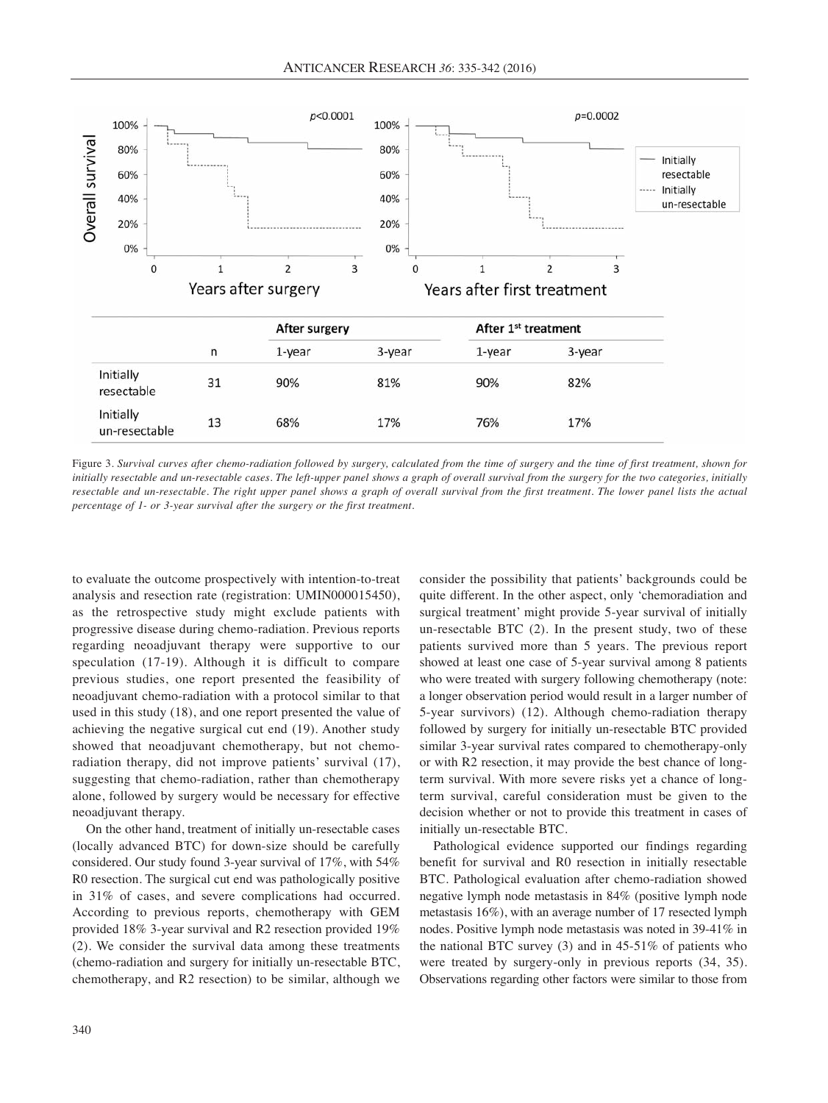

Figure 3. *Survival curves after chemo-radiation followed by surgery, calculated from the time of surgery and the time of first treatment, shown for initially resectable and un-resectable cases. The left-upper panel shows a graph of overall survival from the surgery for the two categories, initially resectable and un-resectable. The right upper panel shows a graph of overall survival from the first treatment. The lower panel lists the actual percentage of 1- or 3-year survival after the surgery or the first treatment.*

to evaluate the outcome prospectively with intention-to-treat analysis and resection rate (registration: UMIN000015450), as the retrospective study might exclude patients with progressive disease during chemo-radiation. Previous reports regarding neoadjuvant therapy were supportive to our speculation (17-19). Although it is difficult to compare previous studies, one report presented the feasibility of neoadjuvant chemo-radiation with a protocol similar to that used in this study (18), and one report presented the value of achieving the negative surgical cut end (19). Another study showed that neoadjuvant chemotherapy, but not chemoradiation therapy, did not improve patients' survival (17), suggesting that chemo-radiation, rather than chemotherapy alone, followed by surgery would be necessary for effective neoadjuvant therapy.

On the other hand, treatment of initially un-resectable cases (locally advanced BTC) for down-size should be carefully considered. Our study found 3-year survival of 17%, with 54% R0 resection. The surgical cut end was pathologically positive in 31% of cases, and severe complications had occurred. According to previous reports, chemotherapy with GEM provided 18% 3-year survival and R2 resection provided 19% (2). We consider the survival data among these treatments (chemo-radiation and surgery for initially un-resectable BTC, chemotherapy, and R2 resection) to be similar, although we consider the possibility that patients' backgrounds could be quite different. In the other aspect, only 'chemoradiation and surgical treatment' might provide 5-year survival of initially un-resectable BTC (2). In the present study, two of these patients survived more than 5 years. The previous report showed at least one case of 5-year survival among 8 patients who were treated with surgery following chemotherapy (note: a longer observation period would result in a larger number of 5-year survivors) (12). Although chemo-radiation therapy followed by surgery for initially un-resectable BTC provided similar 3-year survival rates compared to chemotherapy-only or with R2 resection, it may provide the best chance of longterm survival. With more severe risks yet a chance of longterm survival, careful consideration must be given to the decision whether or not to provide this treatment in cases of initially un-resectable BTC.

Pathological evidence supported our findings regarding benefit for survival and R0 resection in initially resectable BTC. Pathological evaluation after chemo-radiation showed negative lymph node metastasis in 84% (positive lymph node metastasis 16%), with an average number of 17 resected lymph nodes. Positive lymph node metastasis was noted in 39-41% in the national BTC survey (3) and in 45-51% of patients who were treated by surgery-only in previous reports (34, 35). Observations regarding other factors were similar to those from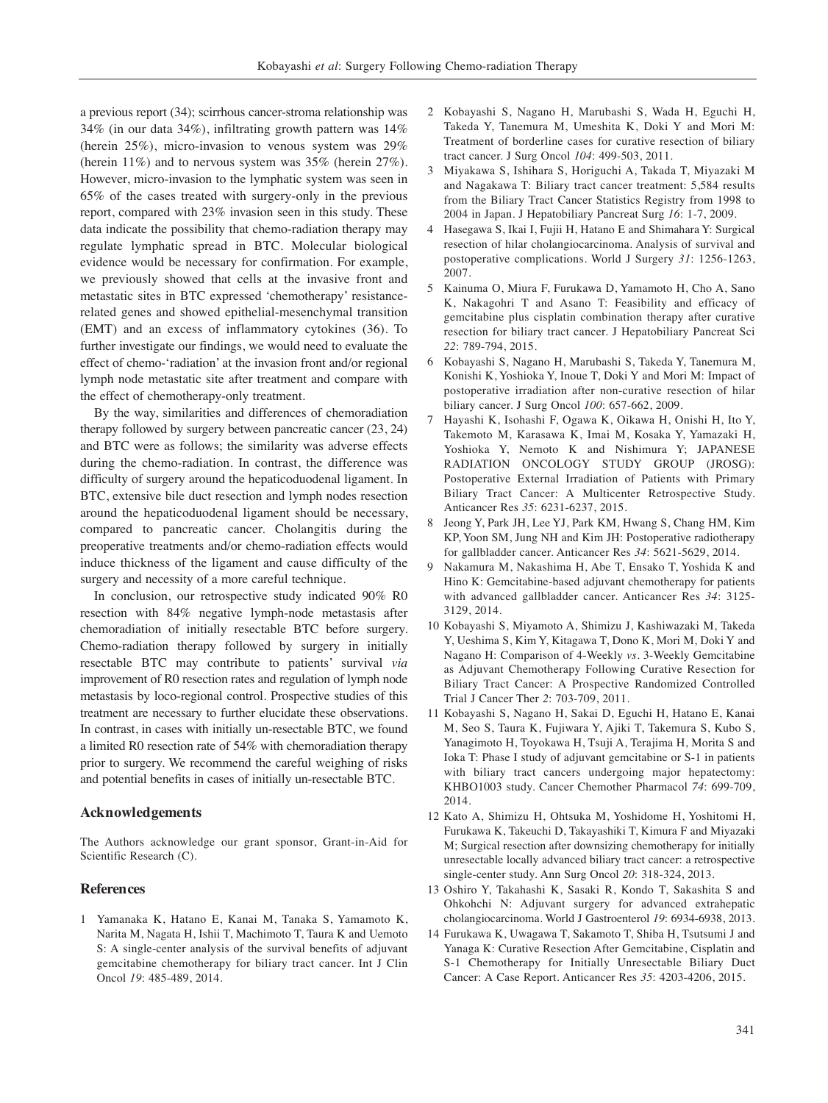a previous report (34); scirrhous cancer-stroma relationship was 34% (in our data 34%), infiltrating growth pattern was 14% (herein 25%), micro-invasion to venous system was 29% (herein 11%) and to nervous system was 35% (herein 27%). However, micro-invasion to the lymphatic system was seen in 65% of the cases treated with surgery-only in the previous report, compared with 23% invasion seen in this study. These data indicate the possibility that chemo-radiation therapy may regulate lymphatic spread in BTC. Molecular biological evidence would be necessary for confirmation. For example, we previously showed that cells at the invasive front and metastatic sites in BTC expressed 'chemotherapy' resistancerelated genes and showed epithelial-mesenchymal transition (EMT) and an excess of inflammatory cytokines (36). To further investigate our findings, we would need to evaluate the effect of chemo-'radiation' at the invasion front and/or regional lymph node metastatic site after treatment and compare with the effect of chemotherapy-only treatment.

By the way, similarities and differences of chemoradiation therapy followed by surgery between pancreatic cancer (23, 24) and BTC were as follows; the similarity was adverse effects during the chemo-radiation. In contrast, the difference was difficulty of surgery around the hepaticoduodenal ligament. In BTC, extensive bile duct resection and lymph nodes resection around the hepaticoduodenal ligament should be necessary, compared to pancreatic cancer. Cholangitis during the preoperative treatments and/or chemo-radiation effects would induce thickness of the ligament and cause difficulty of the surgery and necessity of a more careful technique.

In conclusion, our retrospective study indicated 90% R0 resection with 84% negative lymph-node metastasis after chemoradiation of initially resectable BTC before surgery. Chemo-radiation therapy followed by surgery in initially resectable BTC may contribute to patients' survival *via* improvement of R0 resection rates and regulation of lymph node metastasis by loco-regional control. Prospective studies of this treatment are necessary to further elucidate these observations. In contrast, in cases with initially un-resectable BTC, we found a limited R0 resection rate of 54% with chemoradiation therapy prior to surgery. We recommend the careful weighing of risks and potential benefits in cases of initially un-resectable BTC.

## **Acknowledgements**

The Authors acknowledge our grant sponsor, Grant-in-Aid for Scientific Research (C).

## **References**

1 Yamanaka K, Hatano E, Kanai M, Tanaka S, Yamamoto K, Narita M, Nagata H, Ishii T, Machimoto T, Taura K and Uemoto S: A single-center analysis of the survival benefits of adjuvant gemcitabine chemotherapy for biliary tract cancer. Int J Clin Oncol *19*: 485-489, 2014.

- 2 Kobayashi S, Nagano H, Marubashi S, Wada H, Eguchi H, Takeda Y, Tanemura M, Umeshita K, Doki Y and Mori M: Treatment of borderline cases for curative resection of biliary tract cancer. J Surg Oncol *104*: 499-503, 2011.
- 3 Miyakawa S, Ishihara S, Horiguchi A, Takada T, Miyazaki M and Nagakawa T: Biliary tract cancer treatment: 5,584 results from the Biliary Tract Cancer Statistics Registry from 1998 to 2004 in Japan. J Hepatobiliary Pancreat Surg *16*: 1-7, 2009.
- 4 Hasegawa S, Ikai I, Fujii H, Hatano E and Shimahara Y: Surgical resection of hilar cholangiocarcinoma. Analysis of survival and postoperative complications. World J Surgery *31*: 1256-1263, 2007.
- 5 Kainuma O, Miura F, Furukawa D, Yamamoto H, Cho A, Sano K, Nakagohri T and Asano T: Feasibility and efficacy of gemcitabine plus cisplatin combination therapy after curative resection for biliary tract cancer. J Hepatobiliary Pancreat Sci *22*: 789-794, 2015.
- 6 Kobayashi S, Nagano H, Marubashi S, Takeda Y, Tanemura M, Konishi K, Yoshioka Y, Inoue T, Doki Y and Mori M: Impact of postoperative irradiation after non-curative resection of hilar biliary cancer. J Surg Oncol *100*: 657-662, 2009.
- 7 Hayashi K, Isohashi F, Ogawa K, Oikawa H, Onishi H, Ito Y, Takemoto M, Karasawa K, Imai M, Kosaka Y, Yamazaki H, Yoshioka Y, Nemoto K and Nishimura Y; JAPANESE RADIATION ONCOLOGY STUDY GROUP (JROSG): Postoperative External Irradiation of Patients with Primary Biliary Tract Cancer: A Multicenter Retrospective Study. Anticancer Res *35*: 6231-6237, 2015.
- 8 Jeong Y, Park JH, Lee YJ, Park KM, Hwang S, Chang HM, Kim KP, Yoon SM, Jung NH and Kim JH: Postoperative radiotherapy for gallbladder cancer. Anticancer Res *34*: 5621-5629, 2014.
- 9 Nakamura M, Nakashima H, Abe T, Ensako T, Yoshida K and Hino K: Gemcitabine-based adjuvant chemotherapy for patients with advanced gallbladder cancer. Anticancer Res *34*: 3125- 3129, 2014.
- 10 Kobayashi S, Miyamoto A, Shimizu J, Kashiwazaki M, Takeda Y, Ueshima S, Kim Y, Kitagawa T, Dono K, Mori M, Doki Y and Nagano H: Comparison of 4-Weekly *vs.* 3-Weekly Gemcitabine as Adjuvant Chemotherapy Following Curative Resection for Biliary Tract Cancer: A Prospective Randomized Controlled Trial J Cancer Ther *2*: 703-709, 2011.
- 11 Kobayashi S, Nagano H, Sakai D, Eguchi H, Hatano E, Kanai M, Seo S, Taura K, Fujiwara Y, Ajiki T, Takemura S, Kubo S, Yanagimoto H, Toyokawa H, Tsuji A, Terajima H, Morita S and Ioka T: Phase I study of adjuvant gemcitabine or S-1 in patients with biliary tract cancers undergoing major hepatectomy: KHBO1003 study. Cancer Chemother Pharmacol *74*: 699-709, 2014.
- 12 Kato A, Shimizu H, Ohtsuka M, Yoshidome H, Yoshitomi H, Furukawa K, Takeuchi D, Takayashiki T, Kimura F and Miyazaki M; Surgical resection after downsizing chemotherapy for initially unresectable locally advanced biliary tract cancer: a retrospective single-center study. Ann Surg Oncol *20*: 318-324, 2013.
- 13 Oshiro Y, Takahashi K, Sasaki R, Kondo T, Sakashita S and Ohkohchi N: Adjuvant surgery for advanced extrahepatic cholangiocarcinoma. World J Gastroenterol *19*: 6934-6938, 2013.
- 14 Furukawa K, Uwagawa T, Sakamoto T, Shiba H, Tsutsumi J and Yanaga K: Curative Resection After Gemcitabine, Cisplatin and S-1 Chemotherapy for Initially Unresectable Biliary Duct Cancer: A Case Report. Anticancer Res *35*: 4203-4206, 2015.